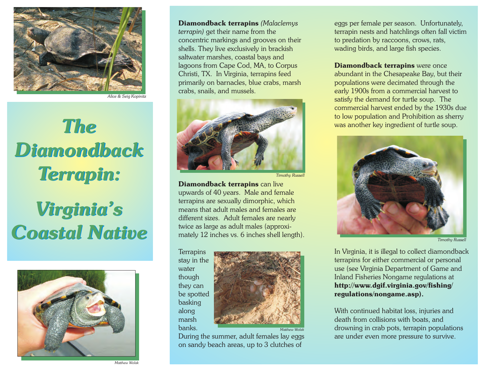

*Alice & Seig Kopinitz*

## *The Diamondback Terrapin:*

## *Virginia's Coastal Native*



*Matthew Wolak*

**Diamondback terrapins** *(Malaclemys terrapin)* get their name from the concentric markings and grooves on their shells. They live exclusively in brackish saltwater marshes, coastal bays and lagoons from Cape Cod, MA, to Corpus Christi, TX. In Virginia, terrapins feed primarily on barnacles, blue crabs, marsh crabs, snails, and mussels.



*Timothy Russell*

**Diamondback terrapins** can live upwards of 40 years. Male and female terrapins are sexually dimorphic, which means that adult males and females are different sizes. Adult females are nearly twice as large as adult males (approximately 12 inches vs. 6 inches shell length).

**Terrapins** stay in the water though they can be spotted basking along marsh banks.



During the summer, adult females lay eggs on sandy beach areas, up to 3 clutches of

eggs per female per season. Unfortunately, terrapin nests and hatchlings often fall victim to predation by raccoons, crows, rats, wading birds, and large fish species.

**Diamondback terrapins** were once abundant in the Chesapeake Bay, but their populations were decimated through the early 1900s from a commercial harvest to satisfy the demand for turtle soup. The commercial harvest ended by the 1930s due to low population and Prohibition as sherry was another key ingredient of turtle soup.



*Timothy Russell*

In Virginia, it is illegal to collect diamondback terrapins for either commercial or personal use (see Virginia Department of Game and Inland Fisheries Nongame regulations at **http://www.dgif.virginia.gov/fishing/ regulations/nongame.asp).**

With continued habitat loss, injuries and death from collisions with boats, and drowning in crab pots, terrapin populations are under even more pressure to survive.